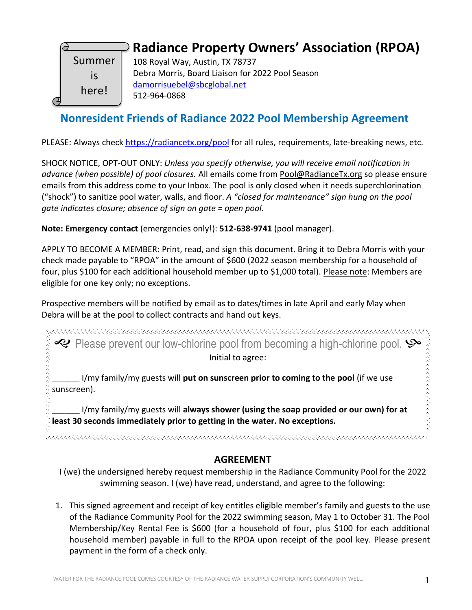

## **Radiance Property Owners' Association (RPOA)**

108 Royal Way, Austin, TX 78737 Debra Morris, Board Liaison for 2022 Pool Season [damorrisuebel@sbcglobal.net](mailto:damorrisuebel@sbcglobal.net)  512-964-0868

### **Nonresident Friends of Radiance 2022 Pool Membership Agreement**

PLEASE: Always check [https://radiancetx.org/pool](https://radiancetx.org/pool/) for all rules, requirements, late-breaking news, etc.

SHOCK NOTICE, OPT-OUT ONLY: *Unless you specify otherwise, you will receive email notification in advance (when possible) of pool closures.* All emails come from Pool@RadianceTx.org so please ensure emails from this address come to your Inbox. The pool is only closed when it needs superchlorination ("shock") to sanitize pool water, walls, and floor. *A "closed for maintenance" sign hung on the pool gate indicates closure; absence of sign on gate = open pool.*

**Note: Emergency contact** (emergencies only!): **512-638-9741** (pool manager).

APPLY TO BECOME A MEMBER: Print, read, and sign this document. Bring it to Debra Morris with your check made payable to "RPOA" in the amount of \$600 (2022 season membership for a household of four, plus \$100 for each additional household member up to \$1,000 total). Please note: Members are eligible for one key only; no exceptions.

Prospective members will be notified by email as to dates/times in late April and early May when Debra will be at the pool to collect contracts and hand out keys.

مجمع محمد المعاملات المعاملات المستقدم المعاملات المستقدم المستقدم المستقدم المستقدم المستقدم المستقدم المستقد<br>المستقدم المستقدم المستقدم المستقدم المستقدم المستقدم المستقدم المستقدم المستقدم المستقدم المستقدم المستقدم ال Initial to agree:

\_\_\_\_\_\_ I/my family/my guests will **put on sunscreen prior to coming to the pool** (if we use sunscreen).

\_\_\_\_\_\_ I/my family/my guests will **always shower (using the soap provided or our own) for at least 30 seconds immediately prior to getting in the water. No exceptions.**

#### **AGREEMENT**

I (we) the undersigned hereby request membership in the Radiance Community Pool for the 2022 swimming season. I (we) have read, understand, and agree to the following:

1. This signed agreement and receipt of key entitles eligible member's family and guests to the use of the Radiance Community Pool for the 2022 swimming season, May 1 to October 31. The Pool Membership/Key Rental Fee is \$600 (for a household of four, plus \$100 for each additional household member) payable in full to the RPOA upon receipt of the pool key. Please present payment in the form of a check only.

ふくんんくん くんぐん くんえんえん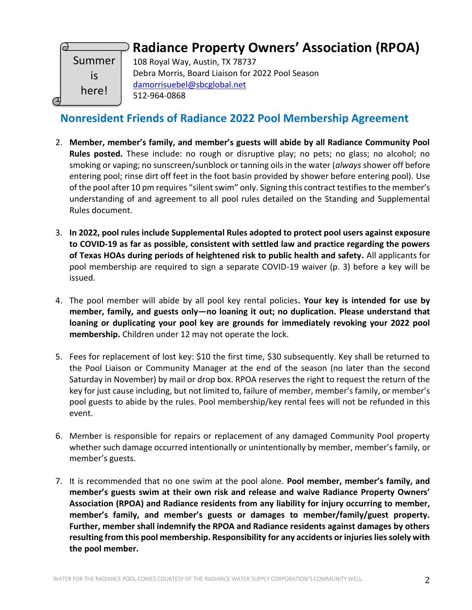

# **Radiance Property Owners' Association (RPOA)**

108 Royal Way, Austin, TX 78737 Debra Morris, Board Liaison for 2022 Pool Season [damorrisuebel@sbcglobal.net](mailto:damorrisuebel@sbcglobal.net)  512-964-0868

### **Nonresident Friends of Radiance 2022 Pool Membership Agreement**

- 2. **Member, member's family, and member's guests will abide by all Radiance Community Pool Rules posted.** These include: no rough or disruptive play; no pets; no glass; no alcohol; no smoking or vaping; no sunscreen/sunblock or tanning oils in the water (*always* shower off before entering pool; rinse dirt off feet in the foot basin provided by shower before entering pool). Use of the pool after 10 pm requires "silent swim" only. Signing this contract testifies to the member's understanding of and agreement to all pool rules detailed on the Standing and Supplemental Rules document.
- 3. **In 2022, pool rules include Supplemental Rules adopted to protect pool users against exposure to COVID-19 as far as possible, consistent with settled law and practice regarding the powers of Texas HOAs during periods of heightened risk to public health and safety.** All applicants for pool membership are required to sign a separate COVID-19 waiver (p. 3) before a key will be issued.
- 4. The pool member will abide by all pool key rental policies**. Your key is intended for use by member, family, and guests only—no loaning it out; no duplication. Please understand that loaning or duplicating your pool key are grounds for immediately revoking your 2022 pool membership.** Children under 12 may not operate the lock.
- 5. Fees for replacement of lost key: \$10 the first time, \$30 subsequently. Key shall be returned to the Pool Liaison or Community Manager at the end of the season (no later than the second Saturday in November) by mail or drop box. RPOA reserves the right to request the return of the key for just cause including, but not limited to, failure of member, member's family, or member's pool guests to abide by the rules. Pool membership/key rental fees will not be refunded in this event.
- 6. Member is responsible for repairs or replacement of any damaged Community Pool property whether such damage occurred intentionally or unintentionally by member, member's family, or member's guests.
- 7. It is recommended that no one swim at the pool alone. **Pool member, member's family, and member's guests swim at their own risk and release and waive Radiance Property Owners' Association (RPOA) and Radiance residents from any liability for injury occurring to member, member's family, and member's guests or damages to member/family/guest property. Further, member shall indemnify the RPOA and Radiance residents against damages by others resulting from this pool membership. Responsibility for any accidents or injuries lies solely with the pool member.**